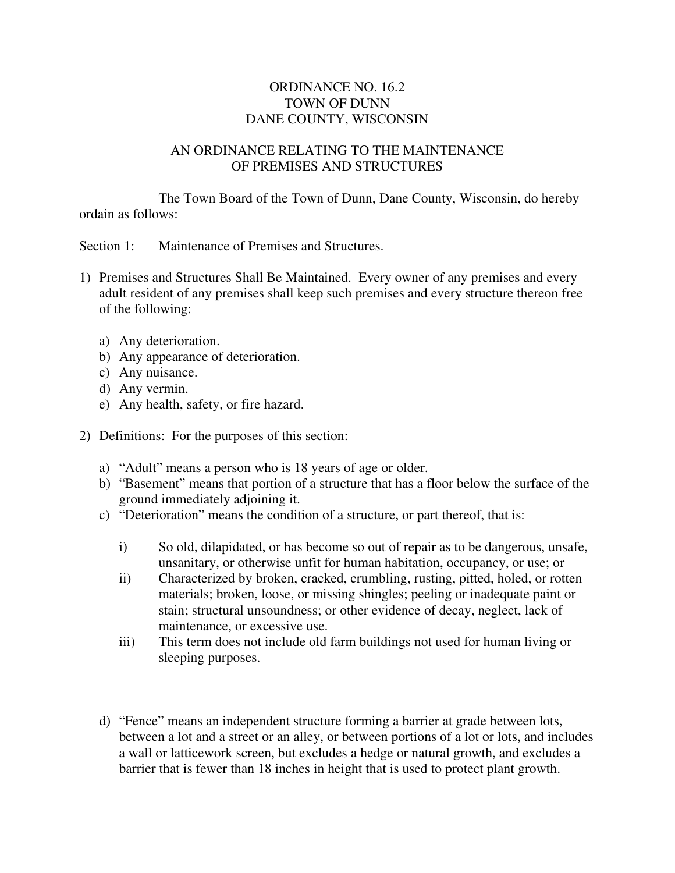## ORDINANCE NO. 16.2 TOWN OF DUNN DANE COUNTY, WISCONSIN

## AN ORDINANCE RELATING TO THE MAINTENANCE OF PREMISES AND STRUCTURES

The Town Board of the Town of Dunn, Dane County, Wisconsin, do hereby ordain as follows:

Section 1: Maintenance of Premises and Structures.

- 1) Premises and Structures Shall Be Maintained. Every owner of any premises and every adult resident of any premises shall keep such premises and every structure thereon free of the following:
	- a) Any deterioration.
	- b) Any appearance of deterioration.
	- c) Any nuisance.
	- d) Any vermin.
	- e) Any health, safety, or fire hazard.
- 2) Definitions: For the purposes of this section:
	- a) "Adult" means a person who is 18 years of age or older.
	- b) "Basement" means that portion of a structure that has a floor below the surface of the ground immediately adjoining it.
	- c) "Deterioration" means the condition of a structure, or part thereof, that is:
		- i) So old, dilapidated, or has become so out of repair as to be dangerous, unsafe, unsanitary, or otherwise unfit for human habitation, occupancy, or use; or
		- ii) Characterized by broken, cracked, crumbling, rusting, pitted, holed, or rotten materials; broken, loose, or missing shingles; peeling or inadequate paint or stain; structural unsoundness; or other evidence of decay, neglect, lack of maintenance, or excessive use.
		- iii) This term does not include old farm buildings not used for human living or sleeping purposes.
	- d) "Fence" means an independent structure forming a barrier at grade between lots, between a lot and a street or an alley, or between portions of a lot or lots, and includes a wall or latticework screen, but excludes a hedge or natural growth, and excludes a barrier that is fewer than 18 inches in height that is used to protect plant growth.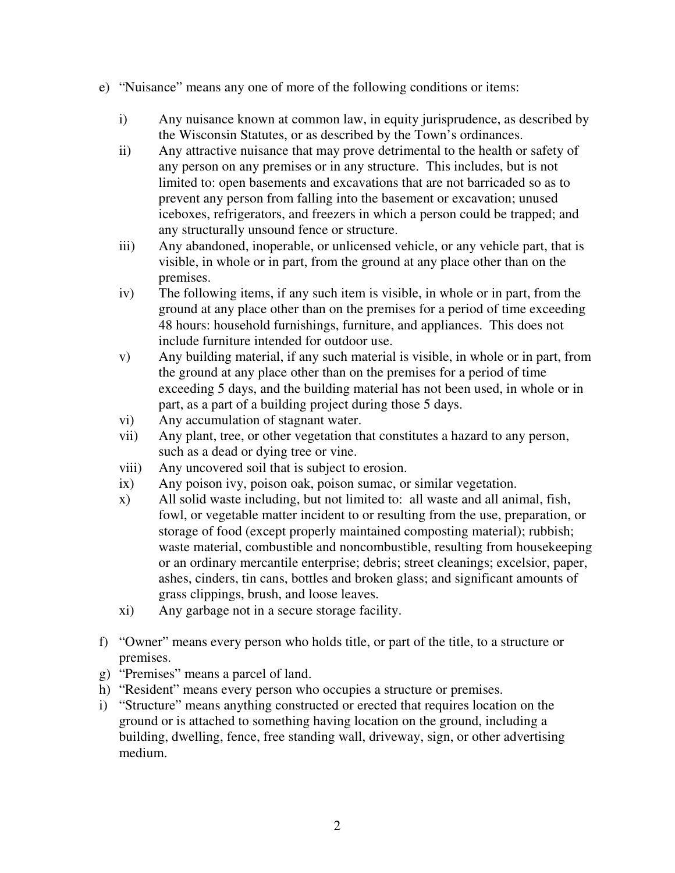- e) "Nuisance" means any one of more of the following conditions or items:
	- i) Any nuisance known at common law, in equity jurisprudence, as described by the Wisconsin Statutes, or as described by the Town's ordinances.
	- ii) Any attractive nuisance that may prove detrimental to the health or safety of any person on any premises or in any structure. This includes, but is not limited to: open basements and excavations that are not barricaded so as to prevent any person from falling into the basement or excavation; unused iceboxes, refrigerators, and freezers in which a person could be trapped; and any structurally unsound fence or structure.
	- iii) Any abandoned, inoperable, or unlicensed vehicle, or any vehicle part, that is visible, in whole or in part, from the ground at any place other than on the premises.
	- iv) The following items, if any such item is visible, in whole or in part, from the ground at any place other than on the premises for a period of time exceeding 48 hours: household furnishings, furniture, and appliances. This does not include furniture intended for outdoor use.
	- v) Any building material, if any such material is visible, in whole or in part, from the ground at any place other than on the premises for a period of time exceeding 5 days, and the building material has not been used, in whole or in part, as a part of a building project during those 5 days.
	- vi) Any accumulation of stagnant water.
	- vii) Any plant, tree, or other vegetation that constitutes a hazard to any person, such as a dead or dying tree or vine.
	- viii) Any uncovered soil that is subject to erosion.
	- ix) Any poison ivy, poison oak, poison sumac, or similar vegetation.
	- x) All solid waste including, but not limited to: all waste and all animal, fish, fowl, or vegetable matter incident to or resulting from the use, preparation, or storage of food (except properly maintained composting material); rubbish; waste material, combustible and noncombustible, resulting from housekeeping or an ordinary mercantile enterprise; debris; street cleanings; excelsior, paper, ashes, cinders, tin cans, bottles and broken glass; and significant amounts of grass clippings, brush, and loose leaves.
	- xi) Any garbage not in a secure storage facility.
- f) "Owner" means every person who holds title, or part of the title, to a structure or premises.
- g) "Premises" means a parcel of land.
- h) "Resident" means every person who occupies a structure or premises.
- i) "Structure" means anything constructed or erected that requires location on the ground or is attached to something having location on the ground, including a building, dwelling, fence, free standing wall, driveway, sign, or other advertising medium.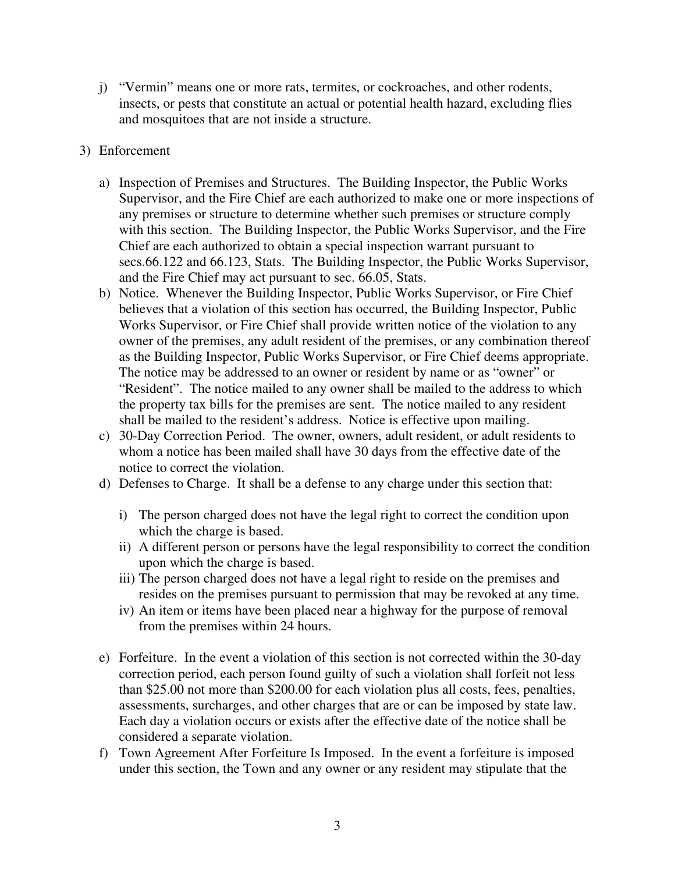- j) "Vermin" means one or more rats, termites, or cockroaches, and other rodents, insects, or pests that constitute an actual or potential health hazard, excluding flies and mosquitoes that are not inside a structure.
- 3) Enforcement
	- a) Inspection of Premises and Structures. The Building Inspector, the Public Works Supervisor, and the Fire Chief are each authorized to make one or more inspections of any premises or structure to determine whether such premises or structure comply with this section. The Building Inspector, the Public Works Supervisor, and the Fire Chief are each authorized to obtain a special inspection warrant pursuant to secs.66.122 and 66.123, Stats. The Building Inspector, the Public Works Supervisor, and the Fire Chief may act pursuant to sec. 66.05, Stats.
	- b) Notice. Whenever the Building Inspector, Public Works Supervisor, or Fire Chief believes that a violation of this section has occurred, the Building Inspector, Public Works Supervisor, or Fire Chief shall provide written notice of the violation to any owner of the premises, any adult resident of the premises, or any combination thereof as the Building Inspector, Public Works Supervisor, or Fire Chief deems appropriate. The notice may be addressed to an owner or resident by name or as "owner" or "Resident". The notice mailed to any owner shall be mailed to the address to which the property tax bills for the premises are sent. The notice mailed to any resident shall be mailed to the resident's address. Notice is effective upon mailing.
	- c) 30-Day Correction Period. The owner, owners, adult resident, or adult residents to whom a notice has been mailed shall have 30 days from the effective date of the notice to correct the violation.
	- d) Defenses to Charge. It shall be a defense to any charge under this section that:
		- i) The person charged does not have the legal right to correct the condition upon which the charge is based.
		- ii) A different person or persons have the legal responsibility to correct the condition upon which the charge is based.
		- iii) The person charged does not have a legal right to reside on the premises and resides on the premises pursuant to permission that may be revoked at any time.
		- iv) An item or items have been placed near a highway for the purpose of removal from the premises within 24 hours.
	- e) Forfeiture. In the event a violation of this section is not corrected within the 30-day correction period, each person found guilty of such a violation shall forfeit not less than \$25.00 not more than \$200.00 for each violation plus all costs, fees, penalties, assessments, surcharges, and other charges that are or can be imposed by state law. Each day a violation occurs or exists after the effective date of the notice shall be considered a separate violation.
	- f) Town Agreement After Forfeiture Is Imposed. In the event a forfeiture is imposed under this section, the Town and any owner or any resident may stipulate that the